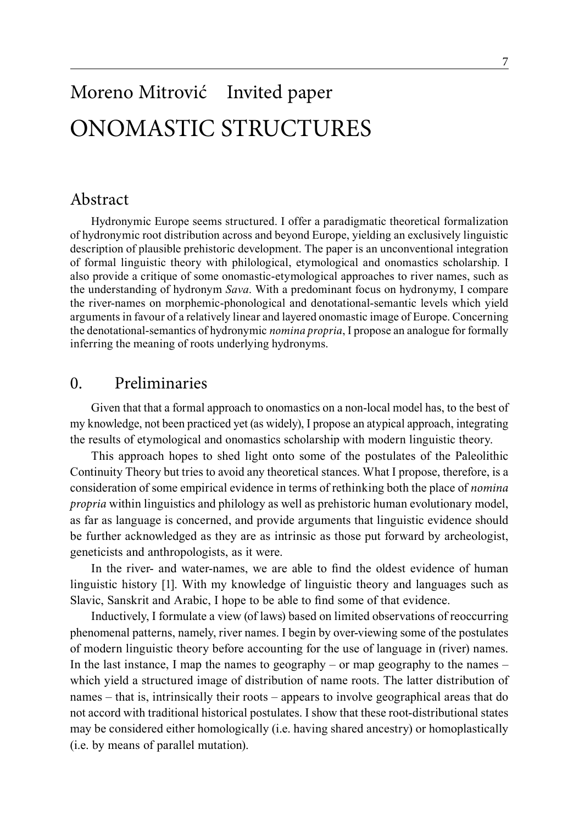# Moreno Mitrović Invited paper ONOMASTIC STRUCTURES

## Abstract

Hydronymic Europe seems structured. I offer a paradigmatic theoretical formalization of hydronymic root distribution across and beyond Europe, yielding an exclusively linguistic description of plausible prehistoric development. The paper is an unconventional integration of formal linguistic theory with philological, etymological and onomastics scholarship. I also provide a critique of some onomastic-etymological approaches to river names, such as the understanding of hydronym *Sava*. With a predominant focus on hydronymy, I compare the river-names on morphemic-phonological and denotational-semantic levels which yield arguments in favour of a relatively linear and layered onomastic image of Europe. Concerning the denotational-semantics of hydronymic *nomina propria*, I propose an analogue for formally inferring the meaning of roots underlying hydronyms.

## 0. Preliminaries

Given that that a formal approach to onomastics on a non-local model has, to the best of my knowledge, not been practiced yet (as widely), I propose an atypical approach, integrating the results of etymological and onomastics scholarship with modern linguistic theory.

This approach hopes to shed light onto some of the postulates of the Paleolithic Continuity Theory but tries to avoid any theoretical stances. What I propose, therefore, is a consideration of some empirical evidence in terms of rethinking both the place of *nomina propria* within linguistics and philology as well as prehistoric human evolutionary model, as far as language is concerned, and provide arguments that linguistic evidence should be further acknowledged as they are as intrinsic as those put forward by archeologist, geneticists and anthropologists, as it were.

In the river- and water-names, we are able to find the oldest evidence of human linguistic history [1]. With my knowledge of linguistic theory and languages such as Slavic, Sanskrit and Arabic, I hope to be able to find some of that evidence.

Inductively, I formulate a view (of laws) based on limited observations of reoccurring phenomenal patterns, namely, river names. I begin by over-viewing some of the postulates of modern linguistic theory before accounting for the use of language in (river) names. In the last instance, I map the names to geography – or map geography to the names  $$ which yield a structured image of distribution of name roots. The latter distribution of names – that is, intrinsically their roots – appears to involve geographical areas that do not accord with traditional historical postulates. I show that these root-distributional states may be considered either homologically (i.e. having shared ancestry) or homoplastically (i.e. by means of parallel mutation).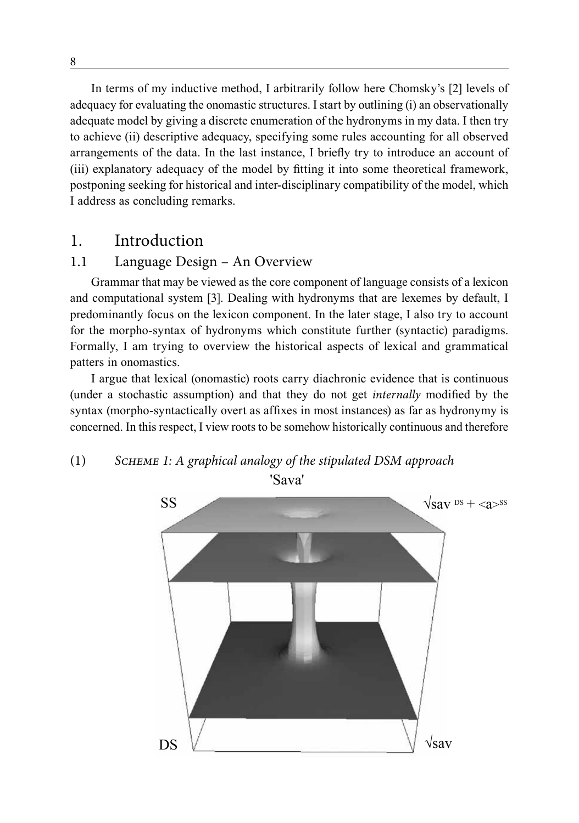In terms of my inductive method, I arbitrarily follow here Chomsky's [2] levels of adequacy for evaluating the onomastic structures. I start by outlining (i) an observationally adequate model by giving a discrete enumeration of the hydronyms in my data. I then try to achieve (ii) descriptive adequacy, specifying some rules accounting for all observed arrangements of the data. In the last instance, I briefly try to introduce an account of (iii) explanatory adequacy of the model by fitting it into some theoretical framework, postponing seeking for historical and inter-disciplinary compatibility of the model, which I address as concluding remarks.

### 1. Introduction

### 1.1 Language Design – An Overview

Grammar that may be viewed as the core component of language consists of a lexicon and computational system [3]. Dealing with hydronyms that are lexemes by default, I predominantly focus on the lexicon component. In the later stage, I also try to account for the morpho-syntax of hydronyms which constitute further (syntactic) paradigms. Formally, I am trying to overview the historical aspects of lexical and grammatical patters in onomastics.

I argue that lexical (onomastic) roots carry diachronic evidence that is continuous (under a stochastic assumption) and that they do not get *internally* modified by the syntax (morpho-syntactically overt as affixes in most instances) as far as hydronymy is concerned. In this respect, I view roots to be somehow historically continuous and therefore

## (1) *Scheme 1: A graphical analogy of the stipulated DSM approach*

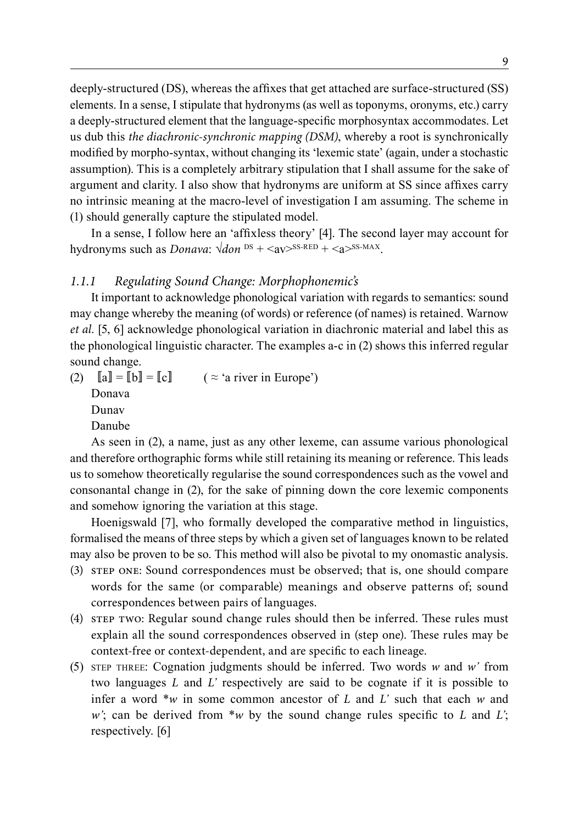deeply-structured (DS), whereas the affixes that get attached are surface-structured (SS) elements. In a sense, I stipulate that hydronyms (as well as toponyms, oronyms, etc.) carry a deeply-structured element that the language-specific morphosyntax accommodates. Let us dub this *the diachronic-synchronic mapping (DSM)*, whereby a root is synchronically modified by morpho-syntax, without changing its 'lexemic state' (again, under a stochastic assumption). This is a completely arbitrary stipulation that I shall assume for the sake of argument and clarity. I also show that hydronyms are uniform at SS since affixes carry no intrinsic meaning at the macro-level of investigation I am assuming. The scheme in (1) should generally capture the stipulated model.

In a sense, I follow here an 'affixless theory' [4]. The second layer may account for hydronyms such as *Donava*:  $\sqrt{d}$ *on*  $\text{d}$ <sup> $\text{d}$ </sup> +  $\text{d}$  $\text{d}$ <sup> $\text{d}$ </sup> +  $\text{d}$  $\text{d}$  $\text{d}$  $\text{d}$  $\text{d}$ .

### *1.1.1 Regulating Sound Change: Morphophonemic's*

It important to acknowledge phonological variation with regards to semantics: sound may change whereby the meaning (of words) or reference (of names) is retained. Warnow *et al.* [5, 6] acknowledge phonological variation in diachronic material and label this as the phonological linguistic character. The examples a-c in (2) shows this inferred regular sound change.

(2)  $\llbracket a \rrbracket = \llbracket b \rrbracket = \llbracket c \rrbracket$  (  $\approx$  'a river in Europe')

Donava Dunav

Danube

As seen in (2), a name, just as any other lexeme, can assume various phonological and therefore orthographic forms while still retaining its meaning or reference. This leads us to somehow theoretically regularise the sound correspondences such as the vowel and consonantal change in (2), for the sake of pinning down the core lexemic components and somehow ignoring the variation at this stage.

Hoenigswald [7], who formally developed the comparative method in linguistics, formalised the means of three steps by which a given set of languages known to be related may also be proven to be so. This method will also be pivotal to my onomastic analysis.

- (3) step one: Sound correspondences must be observed; that is, one should compare words for the same (or comparable) meanings and observe patterns of; sound correspondences between pairs of languages.
- (4) step two: Regular sound change rules should then be inferred. These rules must explain all the sound correspondences observed in (step one). These rules may be context-free or context-dependent, and are specific to each lineage.
- (5) STEP THREE: Cognation judgments should be inferred. Two words  $w$  and  $w'$  from two languages *L* and *L'* respectively are said to be cognate if it is possible to infer a word \**w* in some common ancestor of *L* and *L'* such that each *w* and *w'*; can be derived from \**w* by the sound change rules specific to *L* and *L'*; respectively. [6]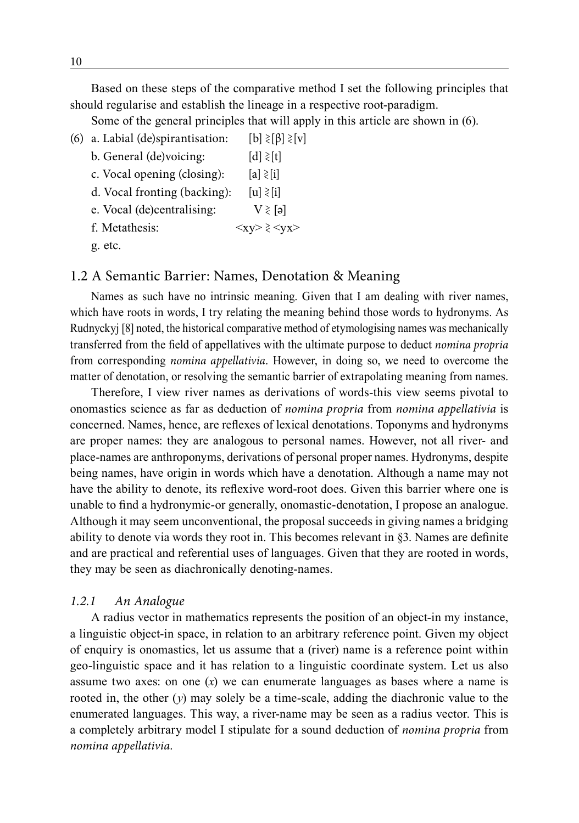Based on these steps of the comparative method I set the following principles that should regularise and establish the lineage in a respective root-paradigm.

Some of the general principles that will apply in this article are shown in (6).

- (6) a. Labial (de)spirantisation:  $[b] \geq [b] \geq [v]$ 
	- b. General (de)voicing:  $[d] \geq [t]$
	- c. Vocal opening (closing):  $[a] \geq |i|$
	- d. Vocal fronting (backing):  $[u] \geq [i]$
	- e. Vocal (de)centralising:  $V \gtrless [a]$
	- f. Metathesis:  $\langle xy \rangle \geq \langle yx \rangle$
	- g. etc.

### 1.2 A Semantic Barrier: Names, Denotation & Meaning

Names as such have no intrinsic meaning. Given that I am dealing with river names, which have roots in words, I try relating the meaning behind those words to hydronyms. As Rudnyckyj [8] noted, the historical comparative method of etymologising names was mechanically transferred from the field of appellatives with the ultimate purpose to deduct *nomina propria* from corresponding *nomina appellativia*. However, in doing so, we need to overcome the matter of denotation, or resolving the semantic barrier of extrapolating meaning from names.

Therefore, I view river names as derivations of words-this view seems pivotal to onomastics science as far as deduction of *nomina propria* from *nomina appellativia* is concerned. Names, hence, are reflexes of lexical denotations. Toponyms and hydronyms are proper names: they are analogous to personal names. However, not all river- and place-names are anthroponyms, derivations of personal proper names. Hydronyms, despite being names, have origin in words which have a denotation. Although a name may not have the ability to denote, its reflexive word-root does. Given this barrier where one is unable to find a hydronymic-or generally, onomastic-denotation, I propose an analogue. Although it may seem unconventional, the proposal succeeds in giving names a bridging ability to denote via words they root in. This becomes relevant in §3. Names are definite and are practical and referential uses of languages. Given that they are rooted in words, they may be seen as diachronically denoting-names.

### *1.2.1 An Analogue*

A radius vector in mathematics represents the position of an object-in my instance, a linguistic object-in space, in relation to an arbitrary reference point. Given my object of enquiry is onomastics, let us assume that a (river) name is a reference point within geo-linguistic space and it has relation to a linguistic coordinate system. Let us also assume two axes: on one (*x*) we can enumerate languages as bases where a name is rooted in, the other (*y*) may solely be a time-scale, adding the diachronic value to the enumerated languages. This way, a river-name may be seen as a radius vector. This is a completely arbitrary model I stipulate for a sound deduction of *nomina propria* from *nomina appellativia.*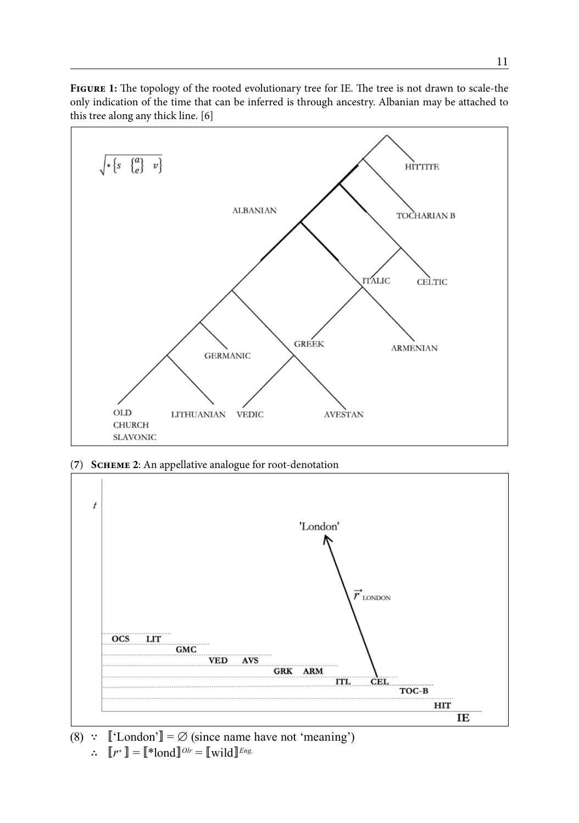

**Figure 1:** The topology of the rooted evolutionary tree for IE. The tree is not drawn to scale-the only indication of the time that can be inferred is through ancestry. Albanian may be attached to this tree along any thick line. [6]

(**7**) **Scheme 2**: An appellative analogue for root-denotation



(8) ∵  $\lbrack\!\lbrack$  'London' $\rbrack\!\rbrack = \emptyset$  (since name have not 'meaning')  $\therefore$   $\llbracket \vec{r} \rrbracket = \llbracket * \text{load} \rrbracket^{Olr} = \llbracket \text{wild} \rrbracket^{Eng.}$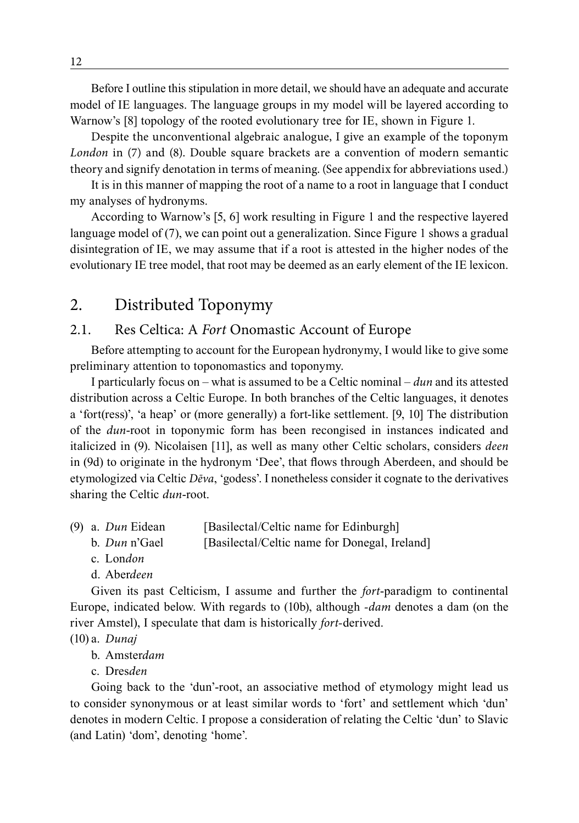Before I outline this stipulation in more detail, we should have an adequate and accurate model of IE languages. The language groups in my model will be layered according to Warnow's [8] topology of the rooted evolutionary tree for IE, shown in Figure 1.

Despite the unconventional algebraic analogue, I give an example of the toponym *London* in (7) and (8). Double square brackets are a convention of modern semantic theory and signify denotation in terms of meaning. (See appendix for abbreviations used.)

It is in this manner of mapping the root of a name to a root in language that I conduct my analyses of hydronyms.

According to Warnow's [5, 6] work resulting in Figure 1 and the respective layered language model of (7), we can point out a generalization. Since Figure 1 shows a gradual disintegration of IE, we may assume that if a root is attested in the higher nodes of the evolutionary IE tree model, that root may be deemed as an early element of the IE lexicon.

## 2. Distributed Toponymy

## 2.1. Res Celtica: A *Fort* Onomastic Account of Europe

Before attempting to account for the European hydronymy, I would like to give some preliminary attention to toponomastics and toponymy.

I particularly focus on – what is assumed to be a Celtic nominal – *dun* and its attested distribution across a Celtic Europe. In both branches of the Celtic languages, it denotes a 'fort(ress)', 'a heap' or (more generally) a fort-like settlement. [9, 10] The distribution of the *dun*-root in toponymic form has been recongised in instances indicated and italicized in (9). Nicolaisen [11], as well as many other Celtic scholars, considers *deen* in (9d) to originate in the hydronym 'Dee', that flows through Aberdeen, and should be etymologized via Celtic *Dēva*, 'godess'. I nonetheless consider it cognate to the derivatives sharing the Celtic *dun*-root.

- (9) a. *Dun* Eidean [Basilectal/Celtic name for Edinburgh]
	- b. *Dun* n'Gael [Basilectal/Celtic name for Donegal, Ireland]
	- c. Lon*don*
	- d. Aber*deen*

Given its past Celticism, I assume and further the *fort*-paradigm to continental Europe, indicated below. With regards to (10b), although *-dam* denotes a dam (on the river Amstel), I speculate that dam is historically *fort-*derived.

(10) a. *Dunaj*

b. Amster*dam*

c. Dres*den*

Going back to the 'dun'-root, an associative method of etymology might lead us to consider synonymous or at least similar words to 'fort' and settlement which 'dun' denotes in modern Celtic. I propose a consideration of relating the Celtic 'dun' to Slavic (and Latin) 'dom', denoting 'home'.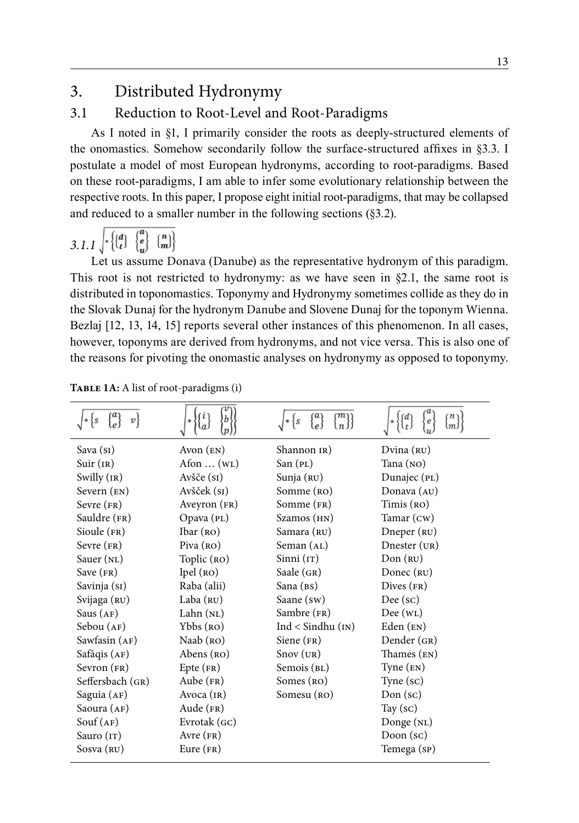## 3. Distributed Hydronymy

### 3.1 Reduction to Root-Level and Root-Paradigms

As I noted in §1, I primarily consider the roots as deeply-structured elements of the onomastics. Somehow secondarily follow the surface-structured affixes in §3.3. I postulate a model of most European hydronyms, according to root-paradigms. Based on these root-paradigms, I am able to infer some evolutionary relationship between the respective roots. In this paper, I propose eight initial root-paradigms, that may be collapsed and reduced to a smaller number in the following sections (§3.2).

### 3.1.1  $\begin{bmatrix} * \\ * \\ * \end{bmatrix}$  $\begin{pmatrix} a \\ e \\ u \end{pmatrix}$

Let us assume Donava (Danube) as the representative hydronym of this paradigm. This root is not restricted to hydronymy: as we have seen in §2.1, the same root is distributed in toponomastics. Toponymy and Hydronymy sometimes collide as they do in the Slovak Dunaj for the hydronym Danube and Slovene Dunaj for the toponym Wienna. Bezlaj [12, 13, 14, 15] reports several other instances of this phenomenon. In all cases, however, toponyms are derived from hydronyms, and not vice versa. This is also one of the reasons for pivoting the onomastic analyses on hydronymy as opposed to toponymy.

| $v\}$                |                                | ${a\brace e}$<br>(m)<br>łs | 'n<br>$\left  d \right\rangle$<br>$\boldsymbol{e}$<br>lm. |
|----------------------|--------------------------------|----------------------------|-----------------------------------------------------------|
| Sava (si)            | Avon $(\text{EN})$             | Shannon IR)                | Dvina (RU)                                                |
| Suir (IR)            | Afon $\dots$ (w <sub>L</sub> ) | San (PL)                   | Tana $(NO)$                                               |
| Swilly $(IR)$        | Avšče (si)                     | Sunja (RU)                 | Dunajec (PL)                                              |
| Severn $(\text{EN})$ | Avšček (s1)                    | Somme (RO)                 | Donava (AU)                                               |
| Sevre $(FR)$         | Aveyron (FR)                   | Somme (FR)                 | Timis (RO)                                                |
| Sauldre (FR)         | Opava (PL)                     | Szamos (HN)                | Tamar (Cw)                                                |
| Sioule $(FR)$        | [bar(RO)]                      | Samara (RU)                | Dneper (RU)                                               |
| $S$ evre $(FR)$      | Piva $(RO)$                    | Seman (AL)                 | Dnester (UR)                                              |
| Sauer (NL)           | Toplic (RO)                    | Sinni(T)                   | Don (RU)                                                  |
| Save $(\text{FR})$   | Ipel(RO)                       | Saale $(GR)$               | Donec $(RU)$                                              |
| Savinja (sī)         | Raba (alii)                    | Sana (BS)                  | Dives $(FR)$                                              |
| Svijaga (RU)         | Laba $(nu)$                    | Saane (sw)                 | $Dee$ (sc)                                                |
| Saus $(AF)$          | Lahn $(NL)$                    | Sambre (FR)                | Dec(wL)                                                   |
| Sebou (AF)           | $Ybbs$ ( $RO$ )                | $Ind <$ Sindhu $(in)$      | Eden $(EN)$                                               |
| Sawfasin (AF)        | Naab $(RO)$                    | Siene $(FR)$               | Dender (GR)                                               |
| Safāqis (AF)         | Abens (RO)                     | $Snov$ ( $UR$ )            | Thames (EN)                                               |
| Sevron (FR)          | $Epte$ (FR)                    | Semois (BL)                | Type (EN)                                                 |
| Seffersbach (GR)     | Aube $(FR)$                    | Somes (RO)                 | Type (sc)                                                 |
| Saguia (AF)          | Avoca $(IR)$                   | Somesu (RO)                | Don (sc)                                                  |
| Saoura (AF)          | Aude $(FR)$                    |                            | Tay $(\mathrm{sc})$                                       |
| Souf(AF)             | Evrotak (GC)                   |                            | Donge (NL)                                                |
| Sauro (IT)           | Avre $(FR)$                    |                            | Doon $(\mathrm{sc})$                                      |
| Sosva (RU)           | Eure $(FR)$                    |                            | Temega (sp)                                               |

**Table 1A:** A list of root-paradigms (i)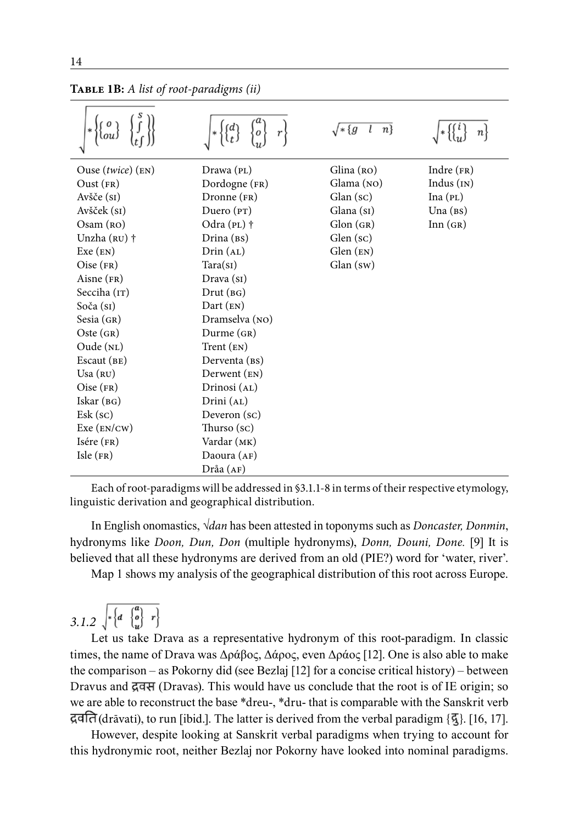|                              |                     | $\sqrt{\ast\{g}}$<br>$n\}$ | п            |
|------------------------------|---------------------|----------------------------|--------------|
| Ouse $(twice)$ $(\text{EN})$ | Drawa (PL)          | Glina (RO)                 | Indre $(FR)$ |
| $Oust$ (FR)                  | Dordogne (FR)       | Glama (NO)                 | Indus $(IN)$ |
| Avšče (si)                   | Dronne (FR)         | $Glan$ (sc)                | Ina(PL)      |
| Avšček (sī)                  | Duero $(pT)$        | Glana (si)                 | Una $(Bs)$   |
| Osam (RO)                    | Odra (PL) †         | Glon(GR)                   | Inn(GR)      |
| Unzha $(RU)$ †               | Drina (BS)          | Glen (sc)                  |              |
| Exe (EN)                     | Drin (AL)           | $Glen$ (EN)                |              |
| $Oise$ (FR)                  | Tara(sI)            | $Glan$ (sw)                |              |
| $Aisne$ (FR)                 | Drawa(s)            |                            |              |
| Secciha (IT)                 | $Drut$ ( $BG$ )     |                            |              |
| Soča (si)                    | $Dart$ ( $EN$ )     |                            |              |
| Sesia(GR)                    | Dramselva (NO)      |                            |              |
| Oste(GR)                     | $Durrence$ (GR)     |                            |              |
| Oude(NL)                     | Trent (EN)          |                            |              |
| Escaut $(BE)$                | Derventa (BS)       |                            |              |
| Usa (RU)                     | $Dervent$ ( $EN$ )  |                            |              |
| $Oise$ (FR)                  | Drinosi (AL)        |                            |              |
| Iskar(BG)                    | Drini (AL)          |                            |              |
| $E$ sk (sc)                  | Deveron (sc)        |                            |              |
| Exc (EN/CW)                  | Thurso $({\rm sc})$ |                            |              |
| $Isére$ $(FR)$               | Vardar (MK)         |                            |              |
| Isle(FR)                     | Daoura $(AF)$       |                            |              |
|                              | Dråa (AF)           |                            |              |

**Table 1B:** *A list of root-paradigms (ii)*

Each of root-paradigms will be addressed in §3.1.1-8 in terms of their respective etymology, linguistic derivation and geographical distribution.

In English onomastics, *√dan* has been attested in toponyms such as *Doncaster, Donmin*, hydronyms like *Doon, Dun, Don* (multiple hydronyms), *Donn, Douni, Done.* [9] It is believed that all these hydronyms are derived from an old (PIE?) word for 'water, river'.

Map 1 shows my analysis of the geographical distribution of this root across Europe.

$$
3.1.2 \sqrt{\left(\frac{a}{a} \left\{\frac{a}{v}\right\} \right)^2}
$$

Let us take Drava as a representative hydronym of this root-paradigm. In classic times, the name of Drava was Δράβος, Δάρος, even Δράος [12]. One is also able to make the comparison – as Pokorny did (see Bezlaj [12] for a concise critical history) – between Dravus and द्रवस (Dravas). This would have us conclude that the root is of IE origin; so we are able to reconstruct the base \*dreu-, \*dru- that is comparable with the Sanskrit verb द्रवति (drāvati), to run [ibid.]. The latter is derived from the verbal paradigm { $\mathcal{F}_3$ }. [16, 17].

However, despite looking at Sanskrit verbal paradigms when trying to account for this hydronymic root, neither Bezlaj nor Pokorny have looked into nominal paradigms.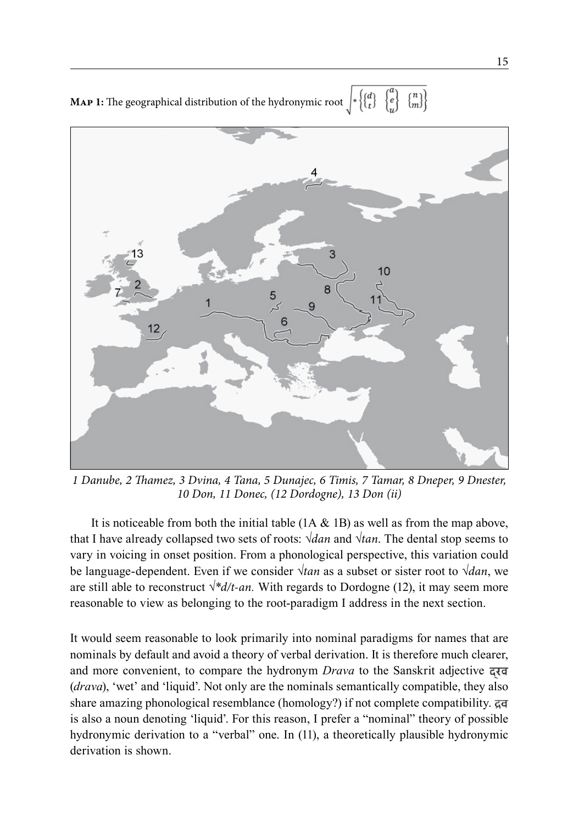**MAP 1:** The geographical distribution of the hydronymic root  $\begin{bmatrix} * \\ t \end{bmatrix}$  $\{m\}$  $\left\{ \begin{matrix} a \\ e \end{matrix} \right\}$ 



*1 Danube, 2 Thamez, 3 Dvina, 4 Tana, 5 Dunajec, 6 Timis, 7 Tamar, 8 Dneper, 9 Dnester, 10 Don, 11 Donec, (12 Dordogne), 13 Don (ii)*

It is noticeable from both the initial table  $(1A \& 1B)$  as well as from the map above, that I have already collapsed two sets of roots: *√dan* and *√tan*. The dental stop seems to vary in voicing in onset position. From a phonological perspective, this variation could be language-dependent. Even if we consider *√tan* as a subset or sister root to *√dan*, we are still able to reconstruct *√\*d/t-an.* With regards to Dordogne (12), it may seem more reasonable to view as belonging to the root-paradigm I address in the next section.

It would seem reasonable to look primarily into nominal paradigms for names that are nominals by default and avoid a theory of verbal derivation. It is therefore much clearer, and more convenient, to compare the hydronym *Drava* to the Sanskrit adjective (*drava*), 'wet' and 'liquid'. Not only are the nominals semantically compatible, they also share amazing phonological resemblance (homology?) if not complete compatibility. is also a noun denoting 'liquid'. For this reason, I prefer a "nominal" theory of possible hydronymic derivation to a "verbal" one. In (11), a theoretically plausible hydronymic derivation is shown.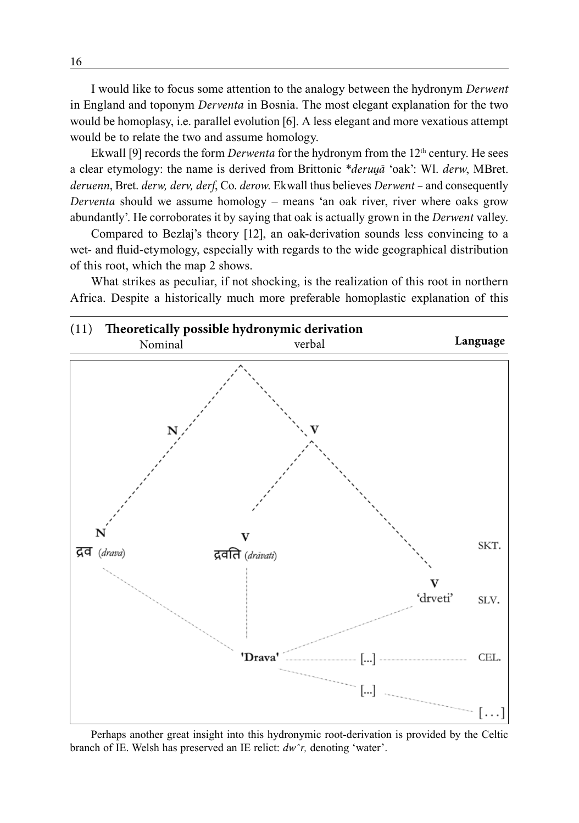I would like to focus some attention to the analogy between the hydronym *Derwent* in England and toponym *Derventa* in Bosnia. The most elegant explanation for the two would be homoplasy, i.e. parallel evolution [6]. A less elegant and more vexatious attempt would be to relate the two and assume homology.

Ekwall [9] records the form *Derwenta* for the hydronym from the 12th century. He sees a clear etymology: the name is derived from Brittonic \**deruva* 'oak': Wl. *derw*, MBret. *deruenn*, Bret. *derw, derv, derf*, Co. *derow*. Ekwall thus believes *Derwent –* and consequently *Derventa* should we assume homology – means 'an oak river, river where oaks grow abundantly'. He corroborates it by saying that oak is actually grown in the *Derwent* valley.

Compared to Bezlaj's theory [12], an oak-derivation sounds less convincing to a wet- and fluid-etymology, especially with regards to the wide geographical distribution of this root, which the map 2 shows.

What strikes as peculiar, if not shocking, is the realization of this root in northern Africa. Despite a historically much more preferable homoplastic explanation of this



Perhaps another great insight into this hydronymic root-derivation is provided by the Celtic branch of IE. Welsh has preserved an IE relict: *dwˆr,* denoting 'water'.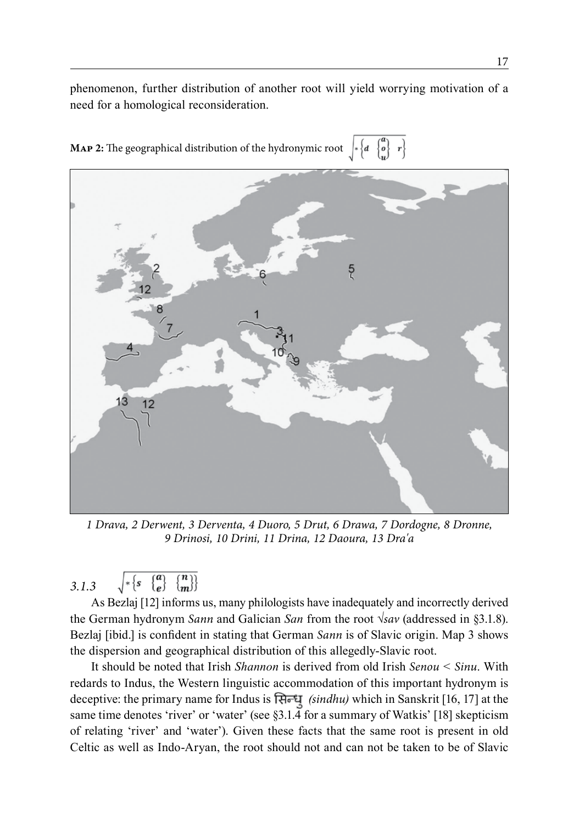phenomenon, further distribution of another root will yield worrying motivation of a need for a homological reconsideration.



**MAP 2:** The geographical distribution of the hydronymic root  $*\left\{a \begin{bmatrix} a \\ b \end{bmatrix} r\right\}$ 

*1 Drava, 2 Derwent, 3 Derventa, 4 Duoro, 5 Drut, 6 Drawa, 7 Dordogne, 8 Dronne, 9 Drinosi, 10 Drini, 11 Drina, 12 Daoura, 13 Dra'a*

$$
3.1.3 \qquad \sqrt{\ast \left\{s \quad \left\{ \begin{matrix} a \\ e \end{matrix} \right\} \quad \left\{ \begin{matrix} n \\ m \end{matrix} \right\} \right\}}
$$

As Bezlaj [12] informs us, many philologists have inadequately and incorrectly derived the German hydronym *Sann* and Galician *San* from the root *√sav* (addressed in §3.1.8). Bezlaj [ibid.] is confident in stating that German *Sann* is of Slavic origin. Map 3 shows the dispersion and geographical distribution of this allegedly-Slavic root.

It should be noted that Irish *Shannon* is derived from old Irish *Senou < Sinu*. With redards to Indus, the Western linguistic accommodation of this important hydronym is deceptive: the primary name for Indus is *(sindhu)* which in Sanskrit [16, 17] at the same time denotes 'river' or 'water' (see §3.1.4 for a summary of Watkis' [18] skepticism of relating 'river' and 'water'). Given these facts that the same root is present in old Celtic as well as Indo-Aryan, the root should not and can not be taken to be of Slavic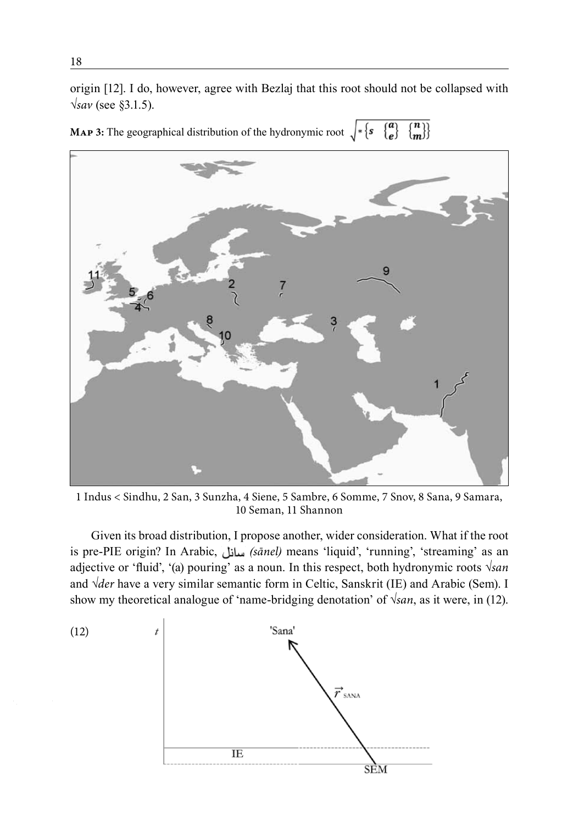origin [12]. I do, however, agree with Bezlaj that this root should not be collapsed with *√sav* (see §3.1.5).

**MAP 3:** The geographical distribution of the hydronymic root  $\sqrt{\{s\}\{s\}\{m\}}$ 



1 Indus < Sindhu, 2 San, 3 Sunzha, 4 Siene, 5 Sambre, 6 Somme, 7 Snov, 8 Sana, 9 Samara, 10 Seman, 11 Shannon

Given its broad distribution, I propose another, wider consideration. What if the root is pre-PIE origin? In Arabic, *(sānel)* means 'liquid', 'running', 'streaming' as an adjective or 'fluid', '(a) pouring' as a noun. In this respect, both hydronymic roots *√san* and *√der* have a very similar semantic form in Celtic, Sanskrit (IE) and Arabic (Sem). I show my theoretical analogue of 'name-bridging denotation' of *√san*, as it were, in (12).

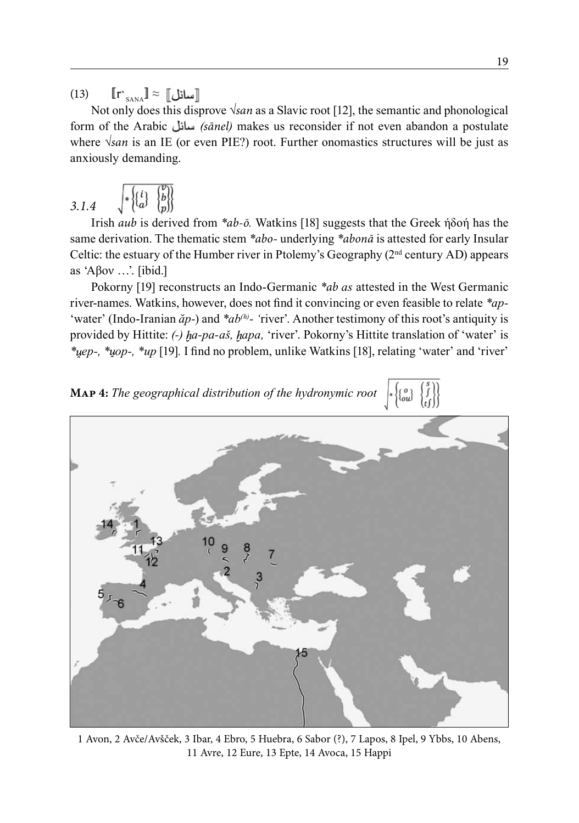$(13)$  $\mathbf{r}$ <sub>sana</sub>』≈

Not only does this disprove *√san* as a Slavic root [12], the semantic and phonological form of the Arabic *(sānel)* makes us reconsider if not even abandon a postulate where *√san* is an IE (or even PIE?) root. Further onomastics structures will be just as anxiously demanding.

$$
3.1.4 \qquad \sqrt{\mathcal{E}\begin{pmatrix} i \\ a \end{pmatrix} \begin{pmatrix} v \\ b \end{pmatrix}}
$$

Irish *aub* is derived from *\*ab-ō.* Watkins [18] suggests that the Greek ήδοή has the same derivation. The thematic stem *\*abo-* underlying *\*abonā* is attested for early Insular Celtic: the estuary of the Humber river in Ptolemy's Geography  $(2<sup>nd</sup>$  century AD) appears as 'Αβον …'. [ibid.]

Pokorny [19] reconstructs an Indo-Germanic *\*ab as* attested in the West Germanic river-names. Watkins, however, does not find it convincing or even feasible to relate *\*ap-*  'water' (Indo-Iranian  $\check{a}p$ -) and *\*ab<sup>(h)</sup>*- 'river'. Another testimony of this root's antiquity is provided by Hittite: *(-) a-pa-aš, apa,* 'river'. Pokorny's Hittite translation of 'water' is *\* ep-, \* op-, \*up* [19]*.* I find no problem, unlike Watkins [18], relating 'water' and 'river'





1 Avon, 2 Avče/Avšček, 3 Ibar, 4 Ebro, 5 Huebra, 6 Sabor (?), 7 Lapos, 8 Ipel, 9 Ybbs, 10 Abens, 11 Avre, 12 Eure, 13 Epte, 14 Avoca, 15 Happi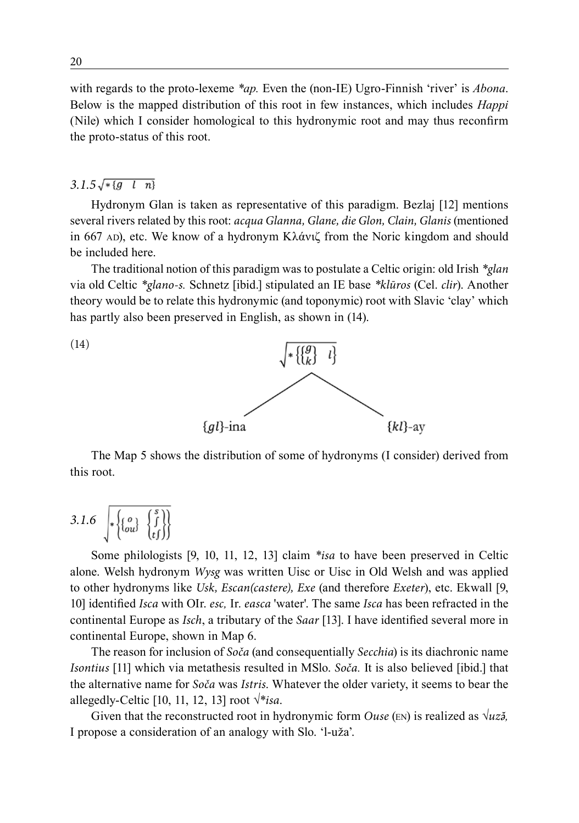with regards to the proto-lexeme *\*ap.* Even the (non-IE) Ugro-Finnish 'river' is *Abona*. Below is the mapped distribution of this root in few instances, which includes *Happi* (Nile) which I consider homological to this hydronymic root and may thus reconfirm the proto-status of this root.

#### $3.1.5\sqrt{*[g l n]}$

Hydronym Glan is taken as representative of this paradigm. Bezlaj [12] mentions several rivers related by this root: *acqua Glanna, Glane, die Glon, Clain, Glanis* (mentioned in 667 AD), etc. We know of a hydronym Κλάνιζ from the Noric kingdom and should be included here.

The traditional notion of this paradigm was to postulate a Celtic origin: old Irish *\*glan* via old Celtic *\*glano-s.* Schnetz [ibid.] stipulated an IE base *\*klūros* (Cel. *clir*). Another theory would be to relate this hydronymic (and toponymic) root with Slavic 'clay' which has partly also been preserved in English, as shown in (14).



The Map 5 shows the distribution of some of hydronyms (I consider) derived from this root.

$$
3.1.6 \quad \sqrt{\left\{\begin{matrix} o \\ ou \end{matrix}\right\} \begin{matrix} s \\ f \end{matrix}\right\}}
$$

Some philologists [9, 10, 11, 12, 13] claim *\*isa* to have been preserved in Celtic alone. Welsh hydronym *Wysg* was written Uisc or Uisc in Old Welsh and was applied to other hydronyms like *Usk, Escan(castere), Exe* (and therefore *Exeter*), etc. Ekwall [9, 10] identified *Isca* with OIr. *esc,* Ir. *easca* 'water'. The same *Isca* has been refracted in the continental Europe as *Isch*, a tributary of the *Saar* [13]. I have identified several more in continental Europe, shown in Map 6.

The reason for inclusion of *Soča* (and consequentially *Secchia*) is its diachronic name *Isontius* [11] which via metathesis resulted in MSlo. *Soča.* It is also believed [ibid.] that the alternative name for *Soča* was *Istris*. Whatever the older variety, it seems to bear the allegedly-Celtic [10, 11, 12, 13] root *√\*isa*.

Given that the reconstructed root in hydronymic form *Ouse* (EN) is realized as  $\sqrt{uz}$ , I propose a consideration of an analogy with Slo. 'l-uža'.

(14)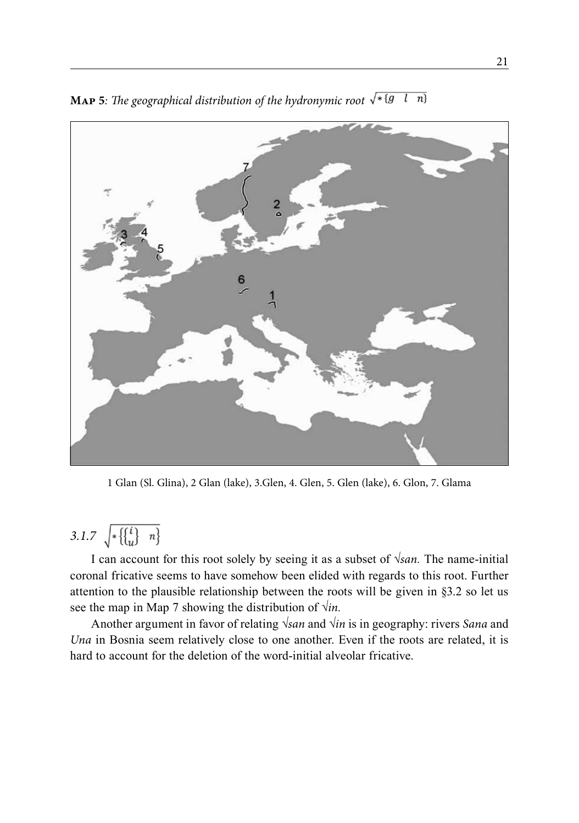

**MAP 5***: The geographical distribution of the hydronymic root*  $\sqrt{\ast (g l n)}$ 

1 Glan (Sl. Glina), 2 Glan (lake), 3.Glen, 4. Glen, 5. Glen (lake), 6. Glon, 7. Glama

## 3.1.7  $\sqrt{{\frac{1}{2} \binom{i}{u} \cdot n}}$

I can account for this root solely by seeing it as a subset of *√san.* The name-initial coronal fricative seems to have somehow been elided with regards to this root. Further attention to the plausible relationship between the roots will be given in §3.2 so let us see the map in Map 7 showing the distribution of *√in.*

Another argument in favor of relating *√san* and *√in* is in geography: rivers *Sana* and *Una* in Bosnia seem relatively close to one another. Even if the roots are related, it is hard to account for the deletion of the word-initial alveolar fricative.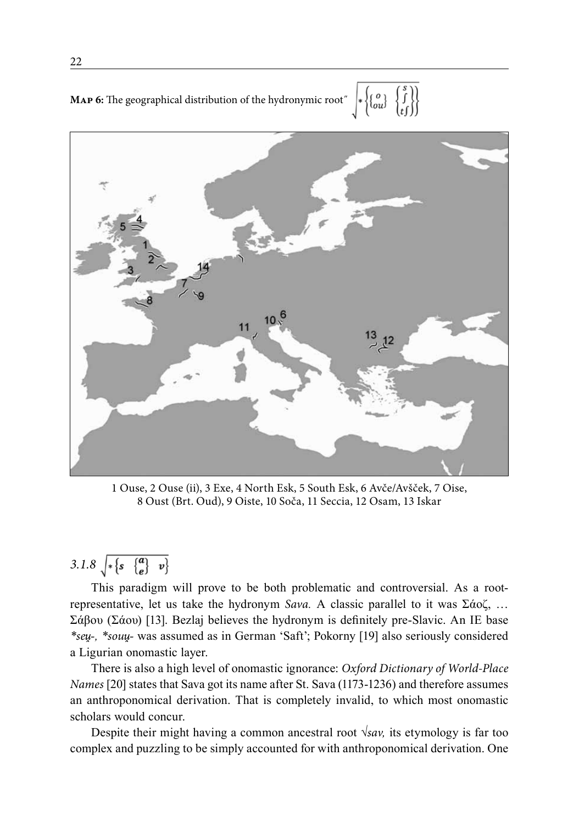**MAP 6:** The geographical distribution of the hydronymic root<sup>"</sup>  $\left|*\begin{Bmatrix} o \\ \{o_i\} \end{Bmatrix} \begin{Bmatrix} s \\ \{j\} \\ t\end{Bmatrix}\right|$ 



1 Ouse, 2 Ouse (ii), 3 Exe, 4 North Esk, 5 South Esk, 6 Avče/Avšček, 7 Oise, 8 Oust (Brt. Oud), 9 Oiste, 10 Soča, 11 Seccia, 12 Osam, 13 Iskar

## 3.1.8  $\sqrt{\frac{1}{s} \left\{ s \right\} \left\{ \frac{a}{e} \right\} \left\{ v \right\}}$

This paradigm will prove to be both problematic and controversial. As a rootrepresentative, let us take the hydronym *Sava.* A classic parallel to it was Σάοζ, … Σάβου (Σάου) [13]. Bezlaj believes the hydronym is definitely pre-Slavic. An IE base *\*se -, \*sou -* was assumed as in German 'Saft'; Pokorny [19] also seriously considered a Ligurian onomastic layer.

There is also a high level of onomastic ignorance: *Oxford Dictionary of World-Place Names* [20] states that Sava got its name after St. Sava (1173-1236) and therefore assumes an anthroponomical derivation. That is completely invalid, to which most onomastic scholars would concur.

Despite their might having a common ancestral root *√sav,* its etymology is far too complex and puzzling to be simply accounted for with anthroponomical derivation. One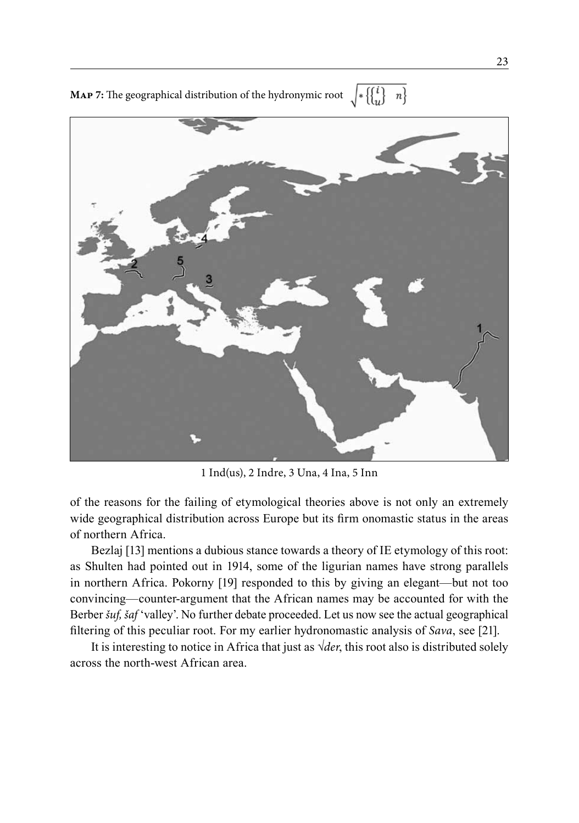**MAP 7:** The geographical distribution of the hydronymic root  $\sqrt{\ast \left\{ \begin{pmatrix} i \\ u \end{pmatrix} - n \right\}}$ 



1 Ind(us), 2 Indre, 3 Una, 4 Ina, 5 Inn

of the reasons for the failing of etymological theories above is not only an extremely wide geographical distribution across Europe but its firm onomastic status in the areas of northern Africa.

Bezlaj [13] mentions a dubious stance towards a theory of IE etymology of this root: as Shulten had pointed out in 1914, some of the ligurian names have strong parallels in northern Africa. Pokorny [19] responded to this by giving an elegant—but not too convincing—counter-argument that the African names may be accounted for with the Berber *šuf, šaf* 'valley'. No further debate proceeded. Let us now see the actual geographical filtering of this peculiar root. For my earlier hydronomastic analysis of *Sava*, see [21].

It is interesting to notice in Africa that just as *√der*, this root also is distributed solely across the north-west African area.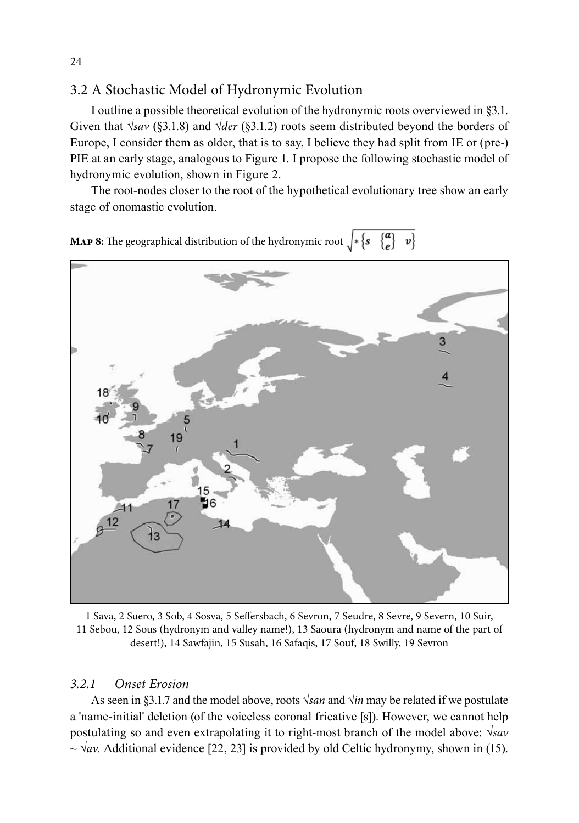### 3.2 A Stochastic Model of Hydronymic Evolution

I outline a possible theoretical evolution of the hydronymic roots overviewed in §3.1. Given that *√sav* (§3.1.8) and *√der* (§3.1.2) roots seem distributed beyond the borders of Europe, I consider them as older, that is to say, I believe they had split from IE or (pre-) PIE at an early stage, analogous to Figure 1. I propose the following stochastic model of hydronymic evolution, shown in Figure 2.

The root-nodes closer to the root of the hypothetical evolutionary tree show an early stage of onomastic evolution.



1 Sava, 2 Suero, 3 Sob, 4 Sosva, 5 Seffersbach, 6 Sevron, 7 Seudre, 8 Sevre, 9 Severn, 10 Suir, 11 Sebou, 12 Sous (hydronym and valley name!), 13 Saoura (hydronym and name of the part of desert!), 14 Sawfajin, 15 Susah, 16 Safaqis, 17 Souf, 18 Swilly, 19 Sevron

### *3.2.1 Onset Erosion*

As seen in §3.1.7 and the model above, roots *√san* and *√in* may be related if we postulate a 'name-initial' deletion (of the voiceless coronal fricative [s]). However, we cannot help postulating so and even extrapolating it to right-most branch of the model above: *√sav* ~ *√av.* Additional evidence [22, 23] is provided by old Celtic hydronymy, shown in (15).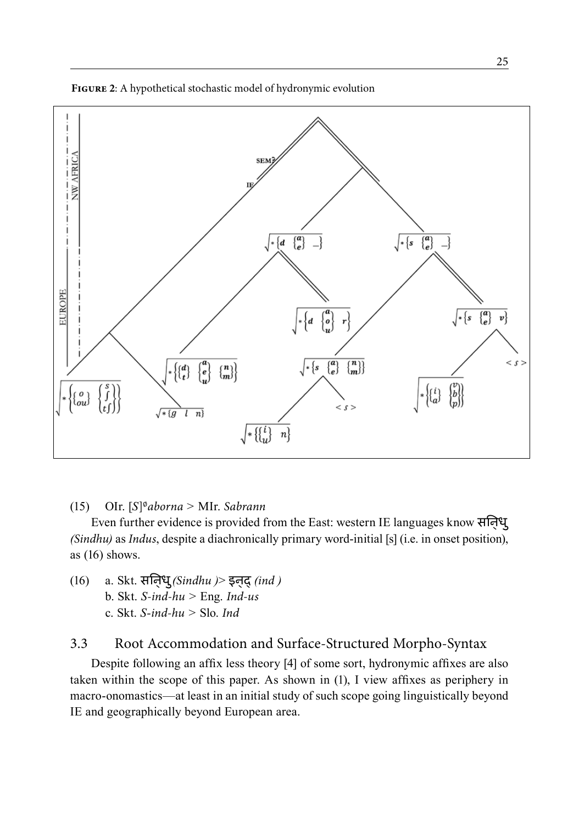



### (15) OIr. [*S*]∅*aborna >* MIr. *Sabrann*

Even further evidence is provided from the East: western IE languages know सिन्धु *(Sindhu)* as *Indus*, despite a diachronically primary word-initial [s] (i.e. in onset position), as (16) shows.

(16) a. Skt. सिन्धु*(Sindhu )*> इन्द्*(ind )* b. Skt. *S-ind-hu >* Eng. *Ind-us* c. Skt. *S-ind-hu >* Slo. *Ind*

### 3.3 Root Accommodation and Surface-Structured Morpho-Syntax

Despite following an affix less theory [4] of some sort, hydronymic affixes are also taken within the scope of this paper. As shown in (1), I view affixes as periphery in macro-onomastics—at least in an initial study of such scope going linguistically beyond IE and geographically beyond European area.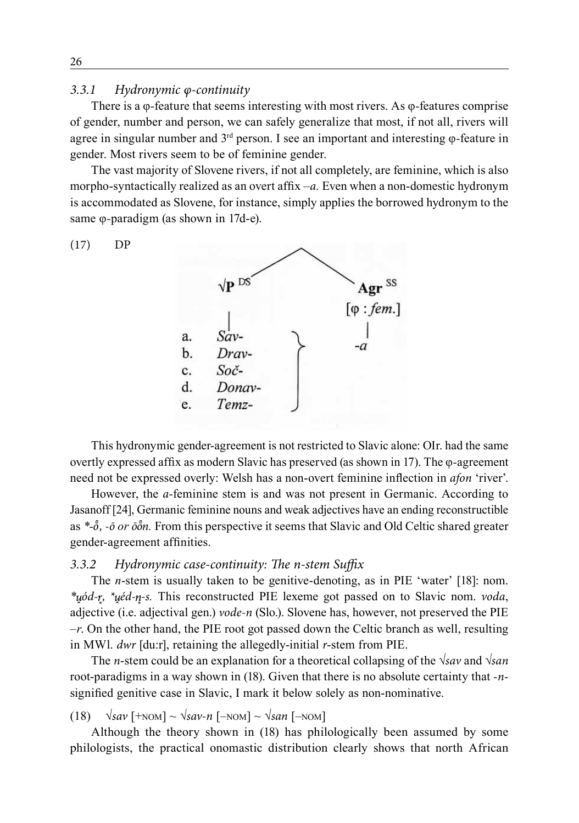#### *3.3.1 Hydronymic φ-continuity*

There is a φ*-*feature that seems interesting with most rivers. As φ*-*features comprise of gender, number and person, we can safely generalize that most, if not all, rivers will agree in singular number and 3rd person. I see an important and interesting φ*-*feature in gender. Most rivers seem to be of feminine gender.

The vast majority of Slovene rivers, if not all completely, are feminine, which is also morpho-syntactically realized as an overt affix –*a.* Even when a non-domestic hydronym is accommodated as Slovene, for instance, simply applies the borrowed hydronym to the same φ*-*paradigm (as shown in 17d-e).





This hydronymic gender-agreement is not restricted to Slavic alone: OIr. had the same overtly expressed affix as modern Slavic has preserved (as shown in 17). The φ*-*agreement need not be expressed overly: Welsh has a non-overt feminine inflection in *afon* 'river'.

However, the *a-*feminine stem is and was not present in Germanic. According to Jasanoff [24], Germanic feminine nouns and weak adjectives have an ending reconstructible as \*- $\delta$ , - $\bar{\sigma}$  *or*  $\bar{\sigma}$  $\delta$ *n*. From this perspective it seems that Slavic and Old Celtic shared greater gender-agreement affinities.

### *3.3.2 Hydronymic case-continuity: The n-stem Suffix*

The *n*-stem is usually taken to be genitive-denoting, as in PIE 'water' [18]: nom. *\* ód- , \* éd- -s.* This reconstructed PIE lexeme got passed on to Slavic nom. *voda*, adjective (i.e. adjectival gen.) *vode-n* (Slo.). Slovene has, however, not preserved the PIE *–r*. On the other hand, the PIE root got passed down the Celtic branch as well, resulting in MWl. *dwr* [du:r], retaining the allegedly-initial *r*-stem from PIE.

The *n*-stem could be an explanation for a theoretical collapsing of the *√sav* and *√san* root-paradigms in a way shown in (18). Given that there is no absolute certainty that *-n*signified genitive case in Slavic, I mark it below solely as non-nominative.

(18) *√sav* [+nom] ~ *√sav-n* [–nom] ~ *√san* [–nom]

Although the theory shown in (18) has philologically been assumed by some philologists, the practical onomastic distribution clearly shows that north African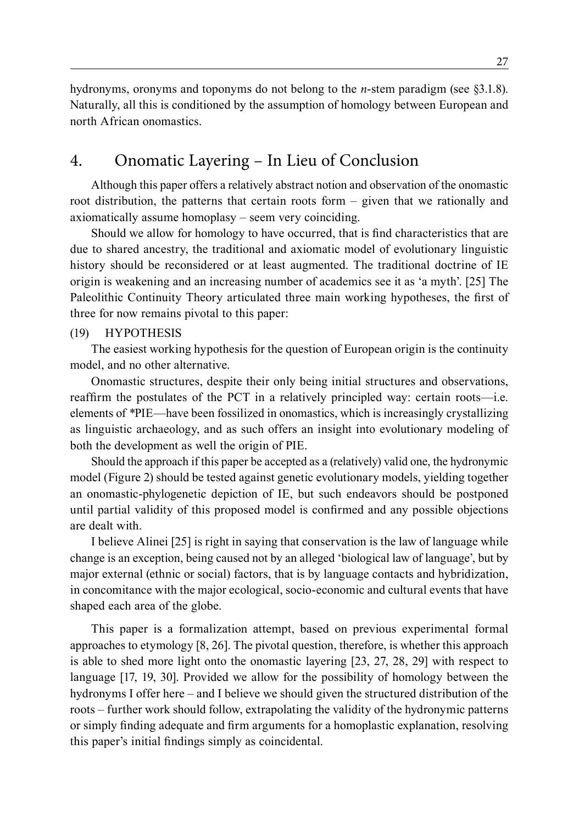hydronyms, oronyms and toponyms do not belong to the *n*-stem paradigm (see §3.1.8). Naturally, all this is conditioned by the assumption of homology between European and north African onomastics.

## 4. Onomatic Layering – In Lieu of Conclusion

Although this paper offers a relatively abstract notion and observation of the onomastic root distribution, the patterns that certain roots form – given that we rationally and axiomatically assume homoplasy – seem very coinciding.

Should we allow for homology to have occurred, that is find characteristics that are due to shared ancestry, the traditional and axiomatic model of evolutionary linguistic history should be reconsidered or at least augmented. The traditional doctrine of IE origin is weakening and an increasing number of academics see it as 'a myth'. [25] The Paleolithic Continuity Theory articulated three main working hypotheses, the first of three for now remains pivotal to this paper:

#### (19) hypothesis

The easiest working hypothesis for the question of European origin is the continuity model, and no other alternative.

Onomastic structures, despite their only being initial structures and observations, reaffirm the postulates of the PCT in a relatively principled way: certain roots—i.e. elements of *\**PIE—have been fossilized in onomastics, which is increasingly crystallizing as linguistic archaeology, and as such offers an insight into evolutionary modeling of both the development as well the origin of PIE.

Should the approach if this paper be accepted as a (relatively) valid one, the hydronymic model (Figure 2) should be tested against genetic evolutionary models, yielding together an onomastic-phylogenetic depiction of IE, but such endeavors should be postponed until partial validity of this proposed model is confirmed and any possible objections are dealt with.

I believe Alinei [25] is right in saying that conservation is the law of language while change is an exception, being caused not by an alleged 'biological law of language', but by major external (ethnic or social) factors, that is by language contacts and hybridization, in concomitance with the major ecological, socio-economic and cultural events that have shaped each area of the globe.

This paper is a formalization attempt, based on previous experimental formal approaches to etymology [8, 26]. The pivotal question, therefore, is whether this approach is able to shed more light onto the onomastic layering [23, 27, 28, 29] with respect to language [17, 19, 30]. Provided we allow for the possibility of homology between the hydronyms I offer here – and I believe we should given the structured distribution of the roots – further work should follow, extrapolating the validity of the hydronymic patterns or simply finding adequate and firm arguments for a homoplastic explanation, resolving this paper's initial findings simply as coincidental.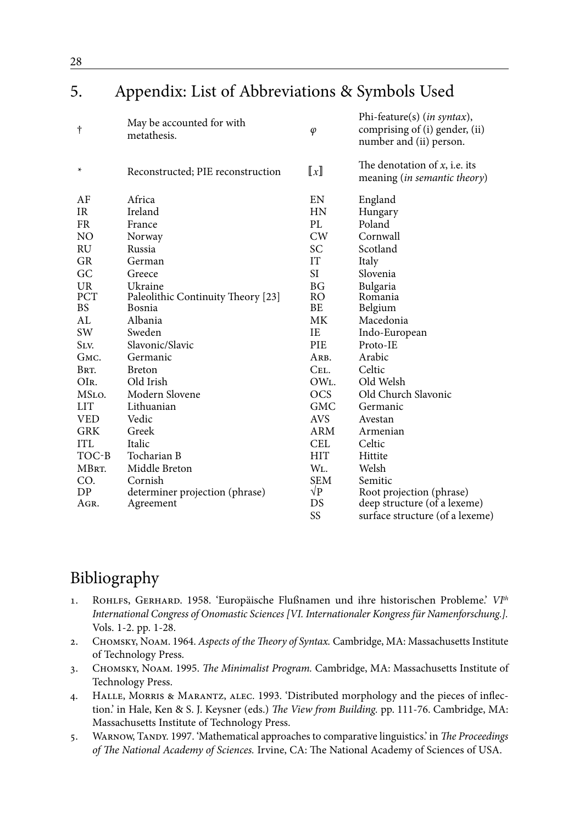## 5. Appendix: List of Abbreviations & Symbols Used

| t          | May be accounted for with<br>metathesis. | $\varphi$                 | Phi-feature(s) ( <i>in syntax</i> ),<br>comprising of (i) gender, (ii)<br>number and (ii) person. |
|------------|------------------------------------------|---------------------------|---------------------------------------------------------------------------------------------------|
| *          | Reconstructed; PIE reconstruction        | $\llbracket x \rrbracket$ | The denotation of $x$ , i.e. its<br>meaning ( <i>in semantic theory</i> )                         |
| AF         | Africa                                   | EN                        | England                                                                                           |
| <b>IR</b>  | Ireland                                  | <b>HN</b>                 | Hungary                                                                                           |
| <b>FR</b>  | France                                   | PL.                       | Poland                                                                                            |
| NO         | Norway                                   | CW                        | Cornwall                                                                                          |
| <b>RU</b>  | Russia                                   | SC                        | Scotland                                                                                          |
| <b>GR</b>  | German                                   | IT                        | Italy                                                                                             |
| GC         | Greece                                   | SI                        | Slovenia                                                                                          |
| UR         | Ukraine                                  | BG <sub>r</sub>           | Bulgaria                                                                                          |
| PCT        | Paleolithic Continuity Theory [23]       | RO.                       | Romania                                                                                           |
| <b>BS</b>  | Bosnia                                   | BE                        | Belgium                                                                                           |
| AI.        | Albania                                  | МK                        | Macedonia                                                                                         |
| SW         | Sweden                                   | IE                        | Indo-European                                                                                     |
| SLV.       | Slavonic/Slavic                          | <b>PIE</b>                | Proto-IE                                                                                          |
| GMC.       | Germanic                                 | ARB.                      | Arabic                                                                                            |
| BRT.       | <b>Breton</b>                            | CEL.                      | Celtic                                                                                            |
| OIR.       | Old Irish                                | OWL                       | Old Welsh                                                                                         |
| MSLO.      | Modern Slovene                           | <b>OCS</b>                | Old Church Slavonic                                                                               |
| <b>LIT</b> | Lithuanian                               | <b>GMC</b>                | Germanic                                                                                          |
| <b>VED</b> | Vedic                                    | <b>AVS</b>                | Avestan                                                                                           |
| <b>GRK</b> | Greek                                    | ARM                       | Armenian                                                                                          |
| <b>ITL</b> | Italic                                   | CEL.                      | Celtic                                                                                            |
| TOC-B      | Tocharian B                              | <b>HIT</b>                | Hittite                                                                                           |
| MBRT.      | Middle Breton                            | WL.                       | Welsh                                                                                             |
| CO.        | Cornish                                  | <b>SEM</b>                | Semitic                                                                                           |
| DP         | determiner projection (phrase)           | $\sqrt{P}$                | Root projection (phrase)                                                                          |
| Agr.       | Agreement                                | DS                        | deep structure (of a lexeme)                                                                      |
|            |                                          | SS                        | surface structure (of a lexeme)                                                                   |

## Bibliography

- 1. Rohlfs, Gerhard. 1958. 'Europäische Flußnamen und ihre historischen Probleme.' *VIth International Congress of Onomastic Sciences [VI. Internationaler Kongress für Namenforschung.].*  Vols. 1-2. pp. 1-28.
- 2. Chomsky, Noam. 1964. *Aspects of the Theory of Syntax.* Cambridge, MA: Massachusetts Institute of Technology Press.
- 3. Chomsky, Noam. 1995. *The Minimalist Program.* Cambridge, MA: Massachusetts Institute of Technology Press.
- 4. Halle, Morris & Marantz, alec. 1993. 'Distributed morphology and the pieces of inflection.' in Hale, Ken & S. J. Keysner (eds.) *The View from Building.* pp. 111-76. Cambridge, MA: Massachusetts Institute of Technology Press.
- 5. Warnow, Tandy. 1997. 'Mathematical approaches to comparative linguistics.' in *The Proceedings of The National Academy of Sciences.* Irvine, CA: The National Academy of Sciences of USA.

28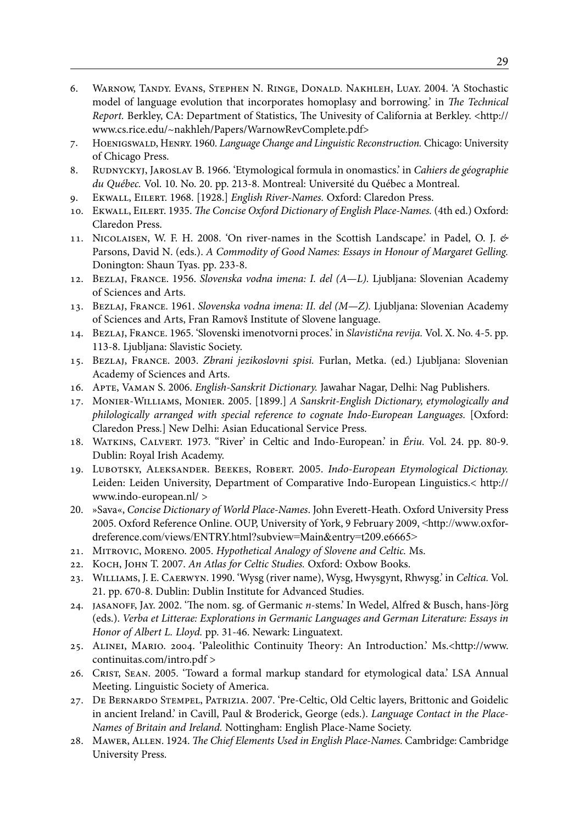- 6. Warnow, Tandy. Evans, Stephen N. Ringe, Donald. Nakhleh, Luay. 2004. 'A Stochastic model of language evolution that incorporates homoplasy and borrowing.' in *The Technical Report.* Berkley, CA: Department of Statistics, The Univesity of California at Berkley. <http:// www.cs.rice.edu/~nakhleh/Papers/WarnowRevComplete.pdf>
- 7. Hoenigswald, Henry. 1960. *Language Change and Linguistic Reconstruction.* Chicago: University of Chicago Press.
- 8. Rudnyckyj, Jaroslav B. 1966. 'Etymological formula in onomastics.' in *Cahiers de géographie du Québec.* Vol. 10. No. 20. pp. 213-8. Montreal: Université du Québec a Montreal.
- 9. Ekwall, Eilert. 1968. [1928.] *English River-Names.* Oxford: Claredon Press.
- 10. Ekwall, Eilert. 1935. *The Concise Oxford Dictionary of English Place-Names.* (4th ed.) Oxford: Claredon Press.
- 11. Nicolaisen, W. F. H. 2008. 'On river-names in the Scottish Landscape.' in Padel, O. J. *&* Parsons, David N. (eds.). *A Commodity of Good Names: Essays in Honour of Margaret Gelling.*  Donington: Shaun Tyas. pp. 233-8.
- 12. Bezlaj, France. 1956. *Slovenska vodna imena: I. del (A—L).* Ljubljana: Slovenian Academy of Sciences and Arts.
- 13. Bezlaj, France. 1961. *Slovenska vodna imena: II. del (M—Z).* Ljubljana: Slovenian Academy of Sciences and Arts, Fran Ramovš Institute of Slovene language.
- 14. Bezlaj, France. 1965. 'Slovenski imenotvorni proces.' in *Slavistična revija.* Vol. X. No. 4-5. pp. 113-8. Ljubljana: Slavistic Society.
- 15. Bezlaj, France. 2003. *Zbrani jezikoslovni spisi.* Furlan, Metka. (ed.) Ljubljana: Slovenian Academy of Sciences and Arts.
- 16. Apte, Vaman S. 2006. *English-Sanskrit Dictionary.* Jawahar Nagar, Delhi: Nag Publishers.
- 17. Monier-Williams, Monier. 2005. [1899.] *A Sanskrit-English Dictionary, etymologically and philologically arranged with special reference to cognate Indo-European Languages.* [Oxford: Claredon Press.] New Delhi: Asian Educational Service Press.
- 18. Watkins, Calvert. 1973. ''River' in Celtic and Indo-European.' in *Ériu.* Vol. 24. pp. 80-9. Dublin: Royal Irish Academy.
- 19. Lubotsky, Aleksander. Beekes, Robert. 2005. *Indo-European Etymological Dictionay.*  Leiden: Leiden University, Department of Comparative Indo-European Linguistics.< http:// www.indo-european.nl/ >
- 20. »Sava«, *Concise Dictionary of World Place-Names*. John Everett-Heath. Oxford University Press 2005. Oxford Reference Online. OUP, University of York, 9 February 2009, <http://www.oxfordreference.com/views/ENTRY.html?subview=Main&entry=t209.e6665>
- 21. Mitrovic, Moreno. 2005. *Hypothetical Analogy of Slovene and Celtic.* Ms.
- 22. Koch, John T. 2007. *An Atlas for Celtic Studies.* Oxford: Oxbow Books.
- 23. Williams, J. E. Caerwyn. 1990. 'Wysg (river name), Wysg, Hwysgynt, Rhwysg.' in *Celtica.* Vol. 21. pp. 670-8. Dublin: Dublin Institute for Advanced Studies.
- 24. jasanoff, Jay. 2002. 'The nom. sg. of Germanic *n*-stems.' In Wedel, Alfred & Busch, hans-Jörg (eds.). *Verba et Litterae: Explorations in Germanic Languages and German Literature: Essays in Honor of Albert L. Lloyd.* pp. 31-46. Newark: Linguatext.
- 25. Alinei, Mario. 2004. 'Paleolithic Continuity Theory: An Introduction.' Ms.<http://www. continuitas.com/intro.pdf >
- 26. Crist, Sean. 2005. 'Toward a formal markup standard for etymological data.' LSA Annual Meeting. Linguistic Society of America.
- 27. De Bernardo Stempel, Patrizia. 2007. 'Pre-Celtic, Old Celtic layers, Brittonic and Goidelic in ancient Ireland.' in Cavill, Paul & Broderick, George (eds.). *Language Contact in the Place-Names of Britain and Ireland.* Nottingham: English Place-Name Society.
- 28. Mawer, Allen. 1924. *The Chief Elements Used in English Place-Names.* Cambridge: Cambridge University Press.